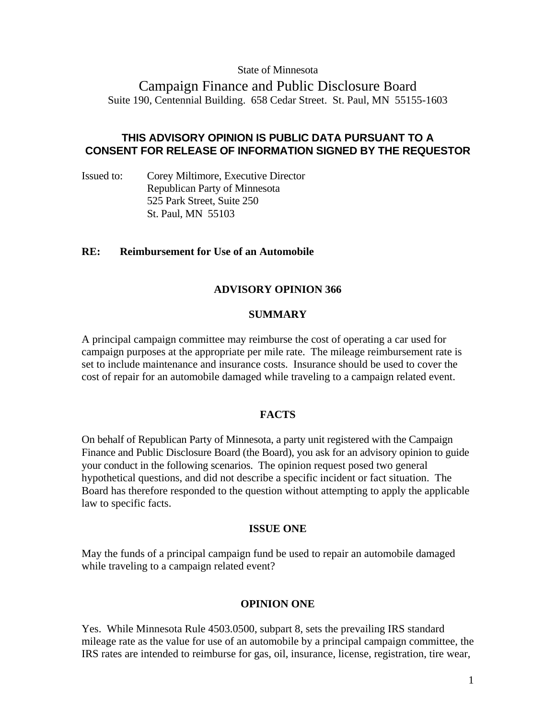# State of Minnesota

# Campaign Finance and Public Disclosure Board Suite 190, Centennial Building. 658 Cedar Street. St. Paul, MN 55155-1603

# **THIS ADVISORY OPINION IS PUBLIC DATA PURSUANT TO A CONSENT FOR RELEASE OF INFORMATION SIGNED BY THE REQUESTOR**

Issued to: Corey Miltimore, Executive Director Republican Party of Minnesota 525 Park Street, Suite 250 St. Paul, MN 55103

## **RE: Reimbursement for Use of an Automobile**

## **ADVISORY OPINION 366**

## **SUMMARY**

A principal campaign committee may reimburse the cost of operating a car used for campaign purposes at the appropriate per mile rate. The mileage reimbursement rate is set to include maintenance and insurance costs. Insurance should be used to cover the cost of repair for an automobile damaged while traveling to a campaign related event.

# **FACTS**

On behalf of Republican Party of Minnesota, a party unit registered with the Campaign Finance and Public Disclosure Board (the Board), you ask for an advisory opinion to guide your conduct in the following scenarios. The opinion request posed two general hypothetical questions, and did not describe a specific incident or fact situation. The Board has therefore responded to the question without attempting to apply the applicable law to specific facts.

#### **ISSUE ONE**

May the funds of a principal campaign fund be used to repair an automobile damaged while traveling to a campaign related event?

# **OPINION ONE**

Yes. While Minnesota Rule 4503.0500, subpart 8, sets the prevailing IRS standard mileage rate as the value for use of an automobile by a principal campaign committee, the IRS rates are intended to reimburse for gas, oil, insurance, license, registration, tire wear,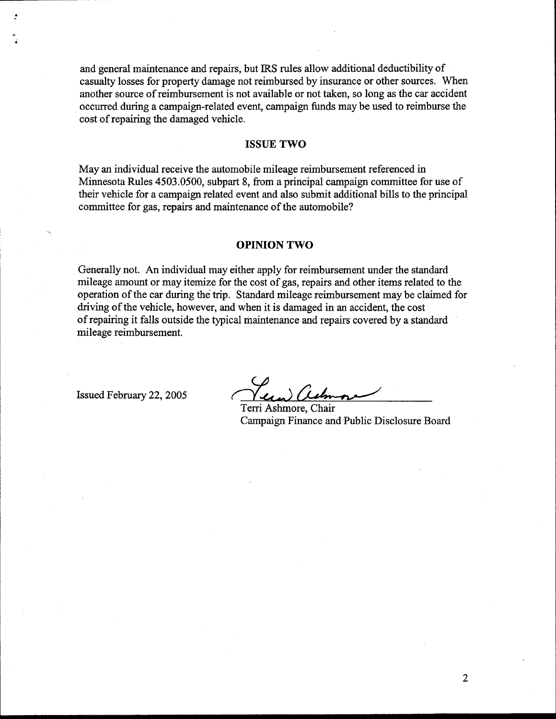and general maintenance and repairs, but IRS rules allow additional deductibility of casualty losses for property damage not reimbursed by insurance or other sources. When another source of reimbursement is not available or not taken, so long as the car accident occurred during a campaign-related event, campaign funds may be used to reimburse the cost of repairing the damaged vehicle.

#### **ISSUE TWO**

May an individual receive the automobile mileage reimbursement referenced in Minnesota Rules 4503.0500, subpart 8, from a principal campaign committee for use of their vehicle for a campaign related event and also submit additional bills to the principal committee for gas, repairs and maintenance of the automobile?

### **OPINION TWO**

Generally not. **An** individual may either apply for reimbursement under the standard mileage amount or may itemize for the cost of gas, repairs and other items related to the operation of the car during the trip. Standard mileage reimbursement may be claimed for driving of the vehicle, however, and when it is damaged in an accident, the cost of repairing it falls outside the typical maintenance and repairs covered by a standard mileage reimbursement.

Issued February 22,2005

Terri Ashmore, Chair Campaign Finance and Public Disclosure Board